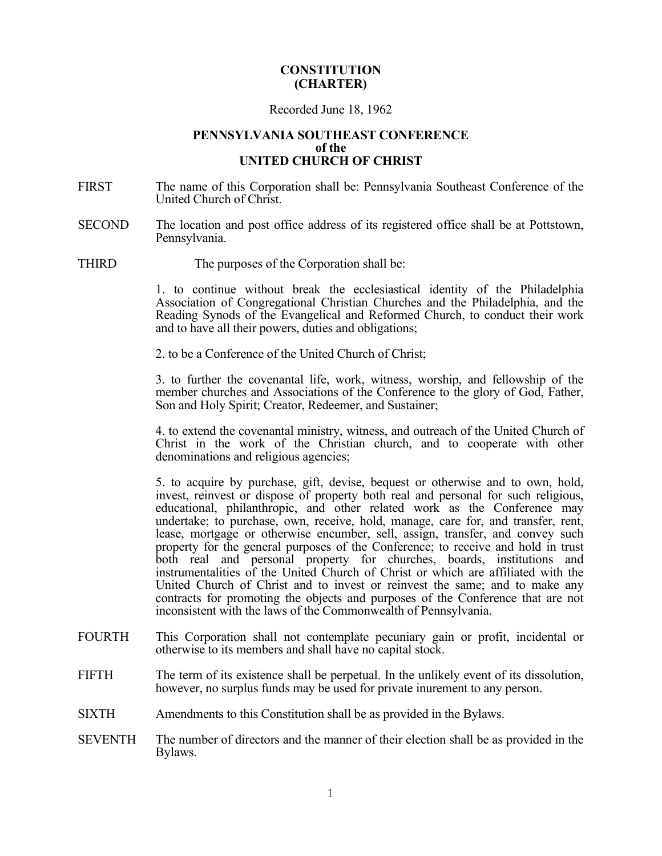#### **CONSTITUTION (CHARTER)**

#### Recorded June 18, 1962

#### **PENNSYLVANIA SOUTHEAST CONFERENCE of the UNITED CHURCH OF CHRIST**

- FIRST The name of this Corporation shall be: Pennsylvania Southeast Conference of the United Church of Christ.
- SECOND The location and post office address of its registered office shall be at Pottstown, Pennsylvania.
- THIRD The purposes of the Corporation shall be:

1. to continue without break the ecclesiastical identity of the Philadelphia Association of Congregational Christian Churches and the Philadelphia, and the Reading Synods of the Evangelical and Reformed Church, to conduct their work and to have all their powers, duties and obligations;

2. to be a Conference of the United Church of Christ;

3. to further the covenantal life, work, witness, worship, and fellowship of the member churches and Associations of the Conference to the glory of God, Father, Son and Holy Spirit; Creator, Redeemer, and Sustainer;

4. to extend the covenantal ministry, witness, and outreach of the United Church of Christ in the work of the Christian church, and to cooperate with other denominations and religious agencies;

5. to acquire by purchase, gift, devise, bequest or otherwise and to own, hold, invest, reinvest or dispose of property both real and personal for such religious, educational, philanthropic, and other related work as the Conference may undertake; to purchase, own, receive, hold, manage, care for, and transfer, rent, lease, mortgage or otherwise encumber, sell, assign, transfer, and convey such property for the general purposes of the Conference; to receive and hold in trust both real and personal property for churches, boards, institutions and instrumentalities of the United Church of Christ or which are affiliated with the United Church of Christ and to invest or reinvest the same; and to make any contracts for promoting the objects and purposes of the Conference that are not inconsistent with the laws of the Commonwealth of Pennsylvania.

- FOURTH This Corporation shall not contemplate pecuniary gain or profit, incidental or otherwise to its members and shall have no capital stock.
- FIFTH The term of its existence shall be perpetual. In the unlikely event of its dissolution, however, no surplus funds may be used for private inurement to any person.
- SIXTH Amendments to this Constitution shall be as provided in the Bylaws.
- SEVENTH The number of directors and the manner of their election shall be as provided in the Bylaws.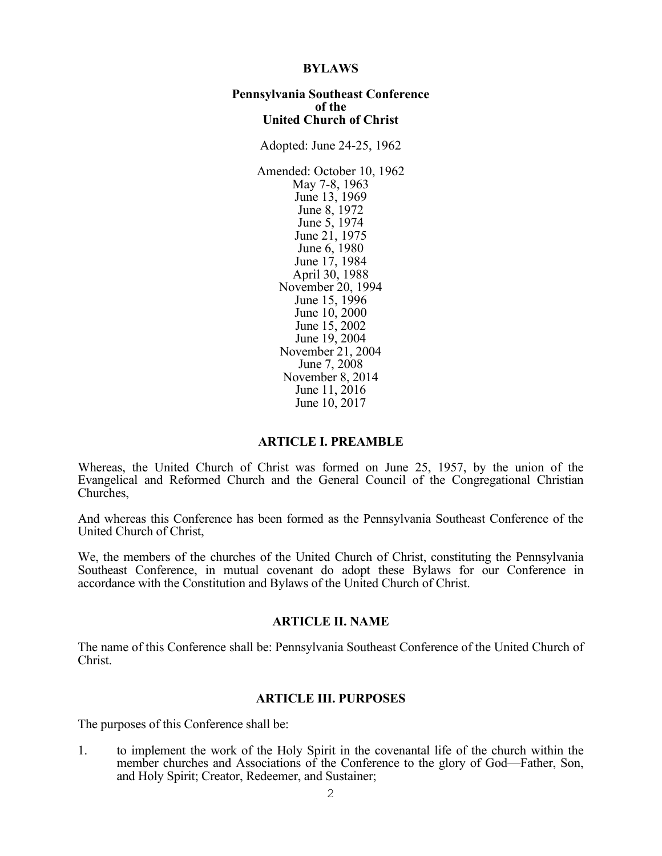#### **BYLAWS**

#### **Pennsylvania Southeast Conference of the United Church of Christ**

Adopted: June 24-25, 1962 Amended: October 10, 1962 May 7-8, 1963 June 13, 1969 June 8, 1972 June 5, 1974 June 21, 1975 June 6, 1980 June 17, 1984 April 30, 1988 November 20, 1994 June 15, 1996 June 10, 2000 June 15, 2002 June 19, 2004 November 21, 2004 June 7, 2008 November 8, 2014 June 11, 2016 June 10, 2017

#### **ARTICLE I. PREAMBLE**

Whereas, the United Church of Christ was formed on June 25, 1957, by the union of the Evangelical and Reformed Church and the General Council of the Congregational Christian Churches,

And whereas this Conference has been formed as the Pennsylvania Southeast Conference of the United Church of Christ,

We, the members of the churches of the United Church of Christ, constituting the Pennsylvania Southeast Conference, in mutual covenant do adopt these Bylaws for our Conference in accordance with the Constitution and Bylaws of the United Church of Christ.

#### **ARTICLE II. NAME**

The name of this Conference shall be: Pennsylvania Southeast Conference of the United Church of Christ.

#### **ARTICLE III. PURPOSES**

The purposes of this Conference shall be:

1. to implement the work of the Holy Spirit in the covenantal life of the church within the member churches and Associations of the Conference to the glory of God—Father, Son, and Holy Spirit; Creator, Redeemer, and Sustainer;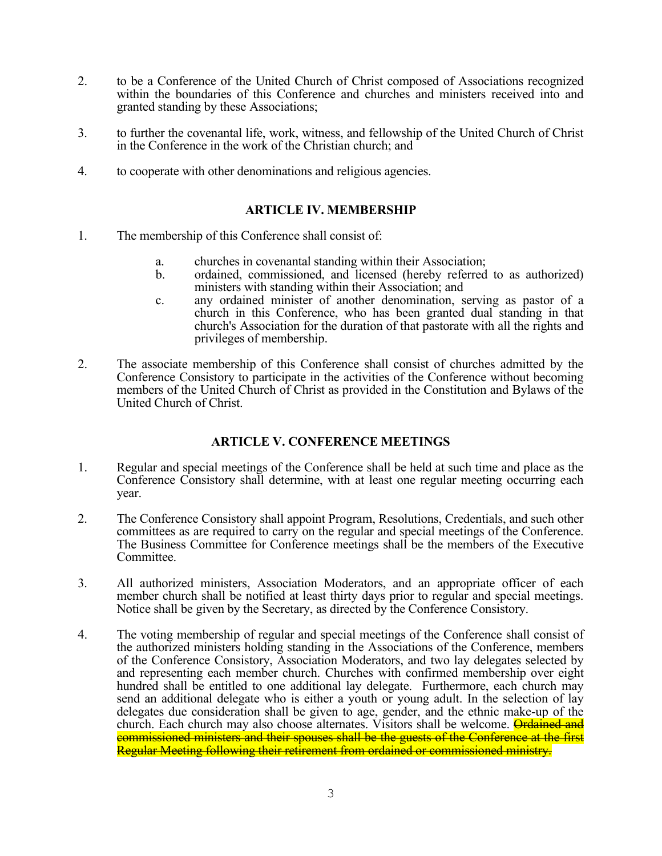- 2. to be a Conference of the United Church of Christ composed of Associations recognized within the boundaries of this Conference and churches and ministers received into and granted standing by these Associations;
- 3. to further the covenantal life, work, witness, and fellowship of the United Church of Christ in the Conference in the work of the Christian church; and
- 4. to cooperate with other denominations and religious agencies.

#### **ARTICLE IV. MEMBERSHIP**

- 1. The membership of this Conference shall consist of:
	- a. churches in covenantal standing within their Association;
	- b. ordained, commissioned, and licensed (hereby referred to as authorized)
	- c. any ordained minister of another denomination, serving as pastor of a church in this Conference, who has been granted dual standing in that church's Association for the duration of that pastorate with all the rights and privileges of membership.
- 2. The associate membership of this Conference shall consist of churches admitted by the Conference Consistory to participate in the activities of the Conference without becoming members of the United Church of Christ as provided in the Constitution and Bylaws of the United Church of Christ.

# **ARTICLE V. CONFERENCE MEETINGS**

- 1. Regular and special meetings of the Conference shall be held at such time and place as the Conference Consistory shall determine, with at least one regular meeting occurring each year.
- 2. The Conference Consistory shall appoint Program, Resolutions, Credentials, and such other committees as are required to carry on the regular and special meetings of the Conference. The Business Committee for Conference meetings shall be the members of the Executive Committee.
- 3. All authorized ministers, Association Moderators, and an appropriate officer of each member church shall be notified at least thirty days prior to regular and special meetings. Notice shall be given by the Secretary, as directed by the Conference Consistory.
- 4. The voting membership of regular and special meetings of the Conference shall consist of the authorized ministers holding standing in the Associations of the Conference, members of the Conference Consistory, Association Moderators, and two lay delegates selected by and representing each member church. Churches with confirmed membership over eight hundred shall be entitled to one additional lay delegate. Furthermore, each church may send an additional delegate who is either a youth or young adult. In the selection of lay delegates due consideration shall be given to age, gender, and the ethnic make-up of the church. Each church may also choose alternates. Visitors shall be welcome. Ordained and commissioned ministers and their spouses shall be the guests of the Conference at the first Regular Meeting following their retirement from ordained or commissioned ministry.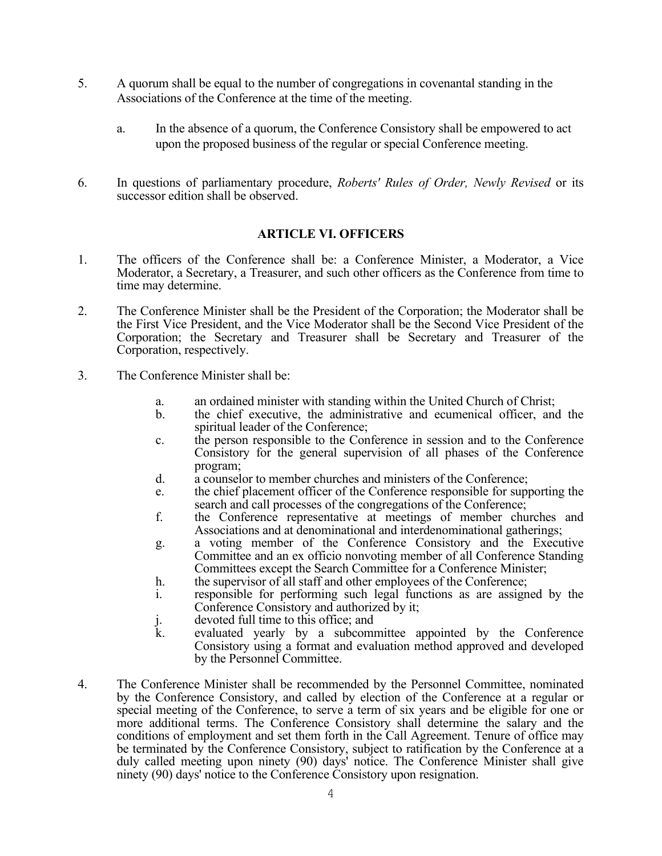- 5. A quorum shall be equal to the number of congregations in covenantal standing in the Associations of the Conference at the time of the meeting.
	- a. In the absence of a quorum, the Conference Consistory shall be empowered to act upon the proposed business of the regular or special Conference meeting.
- 6. In questions of parliamentary procedure, *Roberts' Rules of Order, Newly Revised* or its successor edition shall be observed.

# **ARTICLE VI. OFFICERS**

- 1. The officers of the Conference shall be: a Conference Minister, a Moderator, a Vice Moderator, a Secretary, a Treasurer, and such other officers as the Conference from time to time may determine.
- 2. The Conference Minister shall be the President of the Corporation; the Moderator shall be the First Vice President, and the Vice Moderator shall be the Second Vice President of the Corporation; the Secretary and Treasurer shall be Secretary and Treasurer of the Corporation, respectively.
- 3. The Conference Minister shall be:
	- a. an ordained minister with standing within the United Church of Christ;
	- b. the chief executive, the administrative and ecumenical officer, and the spiritual leader of the Conference;
	- c. the person responsible to the Conference in session and to the Conference Consistory for the general supervision of all phases of the Conference program;
	- d. a counselor to member churches and ministers of the Conference;
	- e. the chief placement officer of the Conference responsible for supporting the search and call processes of the congregations of the Conference;
	- f. the Conference representative at meetings of member churches and Associations and at denominational and interdenominational gatherings;
	- g. a voting member of the Conference Consistory and the Executive Committee and an ex officio nonvoting member of all Conference Standing Committees except the Search Committee for a Conference Minister;
	- h. the supervisor of all staff and other employees of the Conference;<br>i. esponsible for performing such legal functions as are assign
	- responsible for performing such legal functions as are assigned by the Conference Consistory and authorized by it;
	- j. devoted full time to this office; and<br>k. evaluated vearly by a subcome
	- evaluated yearly by a subcommittee appointed by the Conference Consistory using a format and evaluation method approved and developed by the Personnel Committee.
- 4. The Conference Minister shall be recommended by the Personnel Committee, nominated by the Conference Consistory, and called by election of the Conference at a regular or special meeting of the Conference, to serve a term of six years and be eligible for one or more additional terms. The Conference Consistory shall determine the salary and the conditions of employment and set them forth in the Call Agreement. Tenure of office may be terminated by the Conference Consistory, subject to ratification by the Conference at a duly called meeting upon ninety (90) days' notice. The Conference Minister shall give ninety (90) days' notice to the Conference Consistory upon resignation.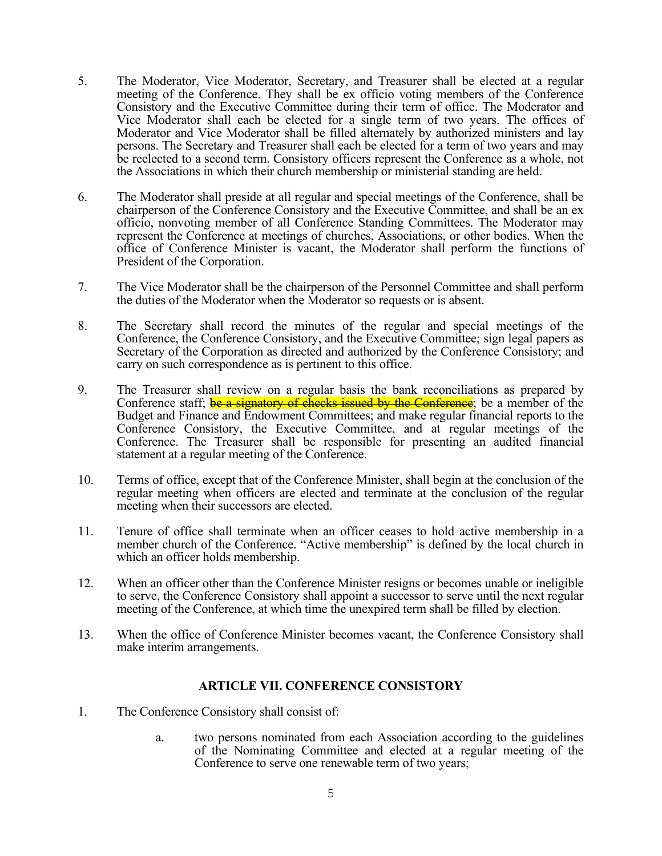- 5. The Moderator, Vice Moderator, Secretary, and Treasurer shall be elected at a regular meeting of the Conference. They shall be ex officio voting members of the Conference Consistory and the Executive Committee during their term of office. The Moderator and Vice Moderator shall each be elected for a single term of two years. The offices of Moderator and Vice Moderator shall be filled alternately by authorized ministers and lay persons. The Secretary and Treasurer shall each be elected for a term of two years and may be reelected to a second term. Consistory officers represent the Conference as a whole, not the Associations in which their church membership or ministerial standing are held.
- 6. The Moderator shall preside at all regular and special meetings of the Conference, shall be chairperson of the Conference Consistory and the Executive Committee, and shall be an ex officio, nonvoting member of all Conference Standing Committees. The Moderator may represent the Conference at meetings of churches, Associations, or other bodies. When the office of Conference Minister is vacant, the Moderator shall perform the functions of President of the Corporation.
- 7. The Vice Moderator shall be the chairperson of the Personnel Committee and shall perform the duties of the Moderator when the Moderator so requests or is absent.
- 8. The Secretary shall record the minutes of the regular and special meetings of the Conference, the Conference Consistory, and the Executive Committee; sign legal papers as Secretary of the Corporation as directed and authorized by the Conference Consistory; and carry on such correspondence as is pertinent to this office.
- 9. The Treasurer shall review on a regular basis the bank reconciliations as prepared by Conference staff; be a signatory of checks issued by the Conference; be a member of the Budget and Finance and Endowment Committees; and make regular financial reports to the Conference Consistory, the Executive Committee, and at regular meetings of the Conference. The Treasurer shall be responsible for presenting an audited financial statement at a regular meeting of the Conference.
- 10. Terms of office, except that of the Conference Minister, shall begin at the conclusion of the regular meeting when officers are elected and terminate at the conclusion of the regular meeting when their successors are elected.
- 11. Tenure of office shall terminate when an officer ceases to hold active membership in a member church of the Conference. "Active membership" is defined by the local church in which an officer holds membership.
- 12. When an officer other than the Conference Minister resigns or becomes unable or ineligible to serve, the Conference Consistory shall appoint a successor to serve until the next regular meeting of the Conference, at which time the unexpired term shall be filled by election.
- 13. When the office of Conference Minister becomes vacant, the Conference Consistory shall make interim arrangements.

# **ARTICLE VII. CONFERENCE CONSISTORY**

- 1. The Conference Consistory shall consist of:
	- a. two persons nominated from each Association according to the guidelines of the Nominating Committee and elected at a regular meeting of the Conference to serve one renewable term of two years;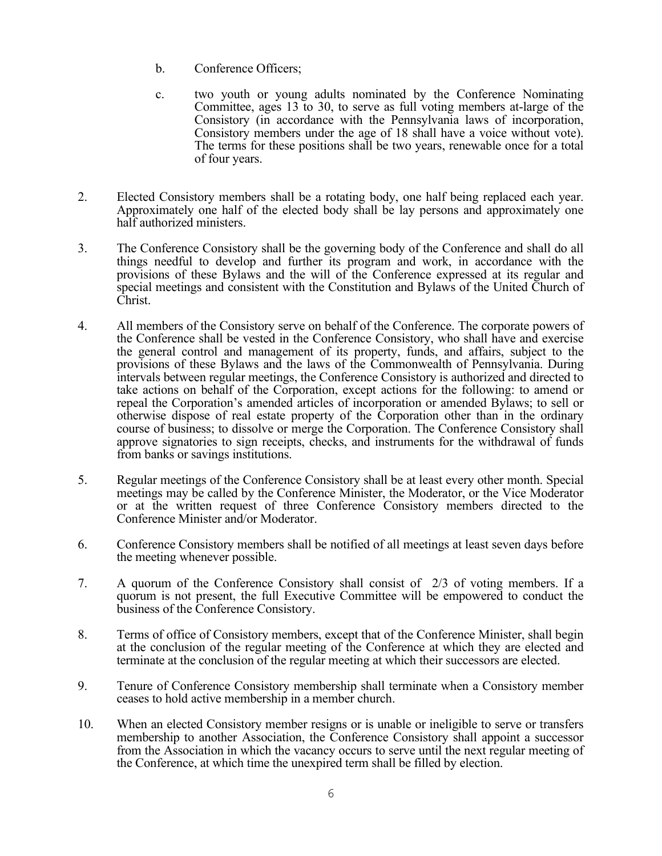- b. Conference Officers;
- c. two youth or young adults nominated by the Conference Nominating Committee, ages 13 to 30, to serve as full voting members at-large of the Consistory (in accordance with the Pennsylvania laws of incorporation, Consistory members under the age of 18 shall have a voice without vote). The terms for these positions shall be two years, renewable once for a total of four years.
- 2. Elected Consistory members shall be a rotating body, one half being replaced each year. Approximately one half of the elected body shall be lay persons and approximately one half authorized ministers.
- 3. The Conference Consistory shall be the governing body of the Conference and shall do all things needful to develop and further its program and work, in accordance with the provisions of these Bylaws and the will of the Conference expressed at its regular and special meetings and consistent with the Constitution and Bylaws of the United Church of Christ.
- 4. All members of the Consistory serve on behalf of the Conference. The corporate powers of the Conference shall be vested in the Conference Consistory, who shall have and exercise the general control and management of its property, funds, and affairs, subject to the provisions of these Bylaws and the laws of the Commonwealth of Pennsylvania. During intervals between regular meetings, the Conference Consistory is authorized and directed to take actions on behalf of the Corporation, except actions for the following: to amend or repeal the Corporation's amended articles of incorporation or amended Bylaws; to sell or otherwise dispose of real estate property of the Corporation other than in the ordinary course of business; to dissolve or merge the Corporation. The Conference Consistory shall approve signatories to sign receipts, checks, and instruments for the withdrawal of funds from banks or savings institutions.
- 5. Regular meetings of the Conference Consistory shall be at least every other month. Special meetings may be called by the Conference Minister, the Moderator, or the Vice Moderator or at the written request of three Conference Consistory members directed to the Conference Minister and/or Moderator.
- 6. Conference Consistory members shall be notified of all meetings at least seven days before the meeting whenever possible.
- 7. A quorum of the Conference Consistory shall consist of 2/3 of voting members. If a quorum is not present, the full Executive Committee will be empowered to conduct the business of the Conference Consistory.
- 8. Terms of office of Consistory members, except that of the Conference Minister, shall begin at the conclusion of the regular meeting of the Conference at which they are elected and terminate at the conclusion of the regular meeting at which their successors are elected.
- 9. Tenure of Conference Consistory membership shall terminate when a Consistory member ceases to hold active membership in a member church.
- 10. When an elected Consistory member resigns or is unable or ineligible to serve or transfers membership to another Association, the Conference Consistory shall appoint a successor from the Association in which the vacancy occurs to serve until the next regular meeting of the Conference, at which time the unexpired term shall be filled by election.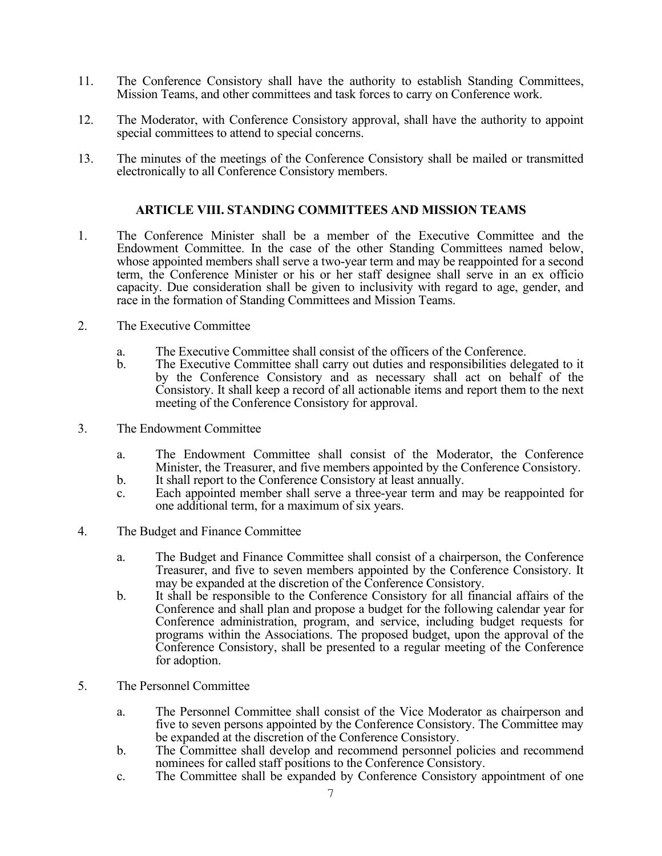- 11. The Conference Consistory shall have the authority to establish Standing Committees, Mission Teams, and other committees and task forces to carry on Conference work.
- 12. The Moderator, with Conference Consistory approval, shall have the authority to appoint special committees to attend to special concerns.
- 13. The minutes of the meetings of the Conference Consistory shall be mailed or transmitted electronically to all Conference Consistory members.

#### **ARTICLE VIII. STANDING COMMITTEES AND MISSION TEAMS**

- 1. The Conference Minister shall be a member of the Executive Committee and the Endowment Committee. In the case of the other Standing Committees named below, whose appointed members shall serve a two-year term and may be reappointed for a second term, the Conference Minister or his or her staff designee shall serve in an ex officio capacity. Due consideration shall be given to inclusivity with regard to age, gender, and race in the formation of Standing Committees and Mission Teams.
- 2. The Executive Committee
	- a. The Executive Committee shall consist of the officers of the Conference.
	- b. The Executive Committee shall carry out duties and responsibilities delegated to it by the Conference Consistory and as necessary shall act on behalf of the Consistory. It shall keep a record of all actionable items and report them to the next meeting of the Conference Consistory for approval.
- 3. The Endowment Committee
	- a. The Endowment Committee shall consist of the Moderator, the Conference Minister, the Treasurer, and five members appointed by the Conference Consistory.
	- b. It shall report to the Conference Consistory at least annually.
	- c. Each appointed member shall serve a three-year term and may be reappointed for one additional term, for a maximum of six years.
- 4. The Budget and Finance Committee
	- a. The Budget and Finance Committee shall consist of a chairperson, the Conference Treasurer, and five to seven members appointed by the Conference Consistory. It may be expanded at the discretion of the Conference Consistory.
	- b. It shall be responsible to the Conference Consistory for all financial affairs of the Conference and shall plan and propose a budget for the following calendar year for Conference administration, program, and service, including budget requests for programs within the Associations. The proposed budget, upon the approval of the Conference Consistory, shall be presented to a regular meeting of the Conference for adoption.
- 5. The Personnel Committee
	- a. The Personnel Committee shall consist of the Vice Moderator as chairperson and five to seven persons appointed by the Conference Consistory. The Committee may be expanded at the discretion of the Conference Consistory.
	- b. The Committee shall develop and recommend personnel policies and recommend nominees for called staff positions to the Conference Consistory.
	- c. The Committee shall be expanded by Conference Consistory appointment of one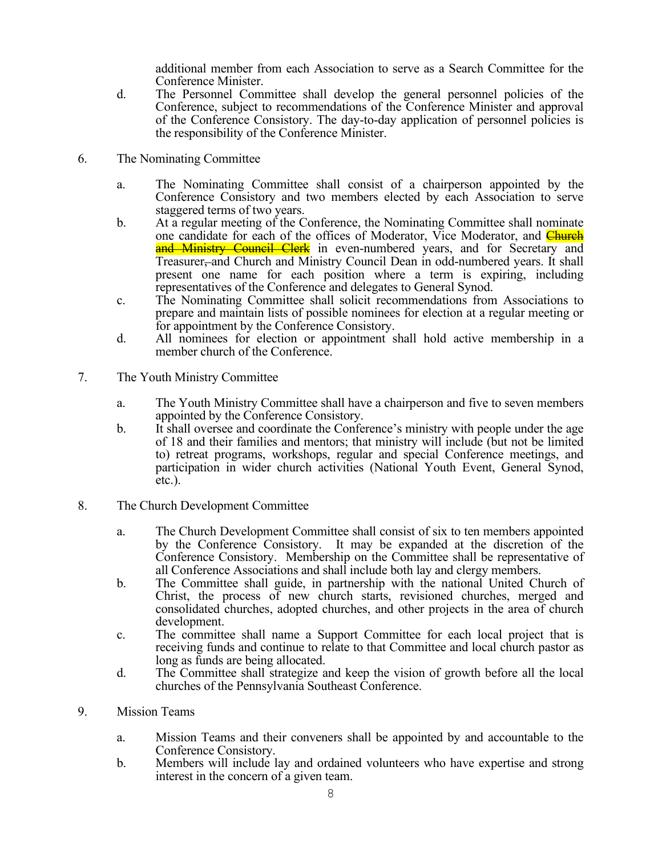additional member from each Association to serve as a Search Committee for the Conference Minister.

- d. The Personnel Committee shall develop the general personnel policies of the Conference, subject to recommendations of the Conference Minister and approval of the Conference Consistory. The day-to-day application of personnel policies is the responsibility of the Conference Minister.
- 6. The Nominating Committee
	- a. The Nominating Committee shall consist of a chairperson appointed by the Conference Consistory and two members elected by each Association to serve staggered terms of two years.
	- b. At a regular meeting of the Conference, the Nominating Committee shall nominate one candidate for each of the offices of Moderator, Vice Moderator, and **Church** and Ministry Council Clerk in even-numbered years, and for Secretary and Treasurer, and Church and Ministry Council Dean in odd-numbered years. It shall present one name for each position where a term is expiring, including representatives of the Conference and delegates to General Synod.
	- c. The Nominating Committee shall solicit recommendations from Associations to prepare and maintain lists of possible nominees for election at a regular meeting or
	- for appointment by the Conference Consistory. d. All nominees for election or appointment shall hold active membership in a member church of the Conference.
- 7. The Youth Ministry Committee
	- a. The Youth Ministry Committee shall have a chairperson and five to seven members appointed by the Conference Consistory.
	- b. It shall oversee and coordinate the Conference's ministry with people under the age of 18 and their families and mentors; that ministry will include (but not be limited to) retreat programs, workshops, regular and special Conference meetings, and participation in wider church activities (National Youth Event, General Synod, etc.).
- 8. The Church Development Committee
	- a. The Church Development Committee shall consist of six to ten members appointed by the Conference Consistory. It may be expanded at the discretion of the Conference Consistory. Membership on the Committee shall be representative of all Conference Associations and shall include both lay and clergy members.
	- b. The Committee shall guide, in partnership with the national United Church of Christ, the process of new church starts, revisioned churches, merged and consolidated churches, adopted churches, and other projects in the area of church development.
	- c. The committee shall name a Support Committee for each local project that is receiving funds and continue to relate to that Committee and local church pastor as long as funds are being allocated.
	- d. The Committee shall strategize and keep the vision of growth before all the local churches of the Pennsylvania Southeast Conference.
- 9. Mission Teams
	- a. Mission Teams and their conveners shall be appointed by and accountable to the Conference Consistory.
	- b. Members will include lay and ordained volunteers who have expertise and strong interest in the concern of a given team.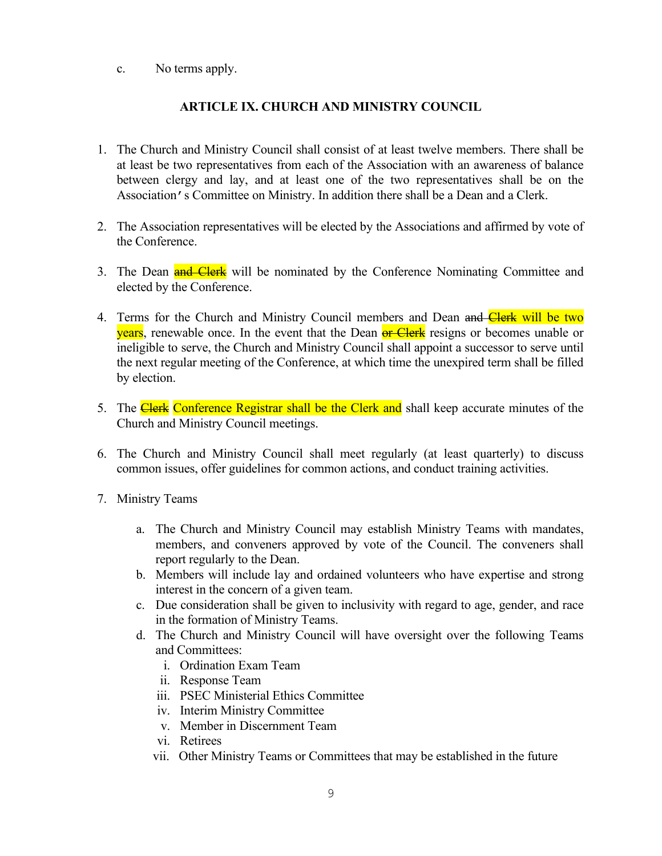c. No terms apply.

# **ARTICLE IX. CHURCH AND MINISTRY COUNCIL**

- 1. The Church and Ministry Council shall consist of at least twelve members. There shall be at least be two representatives from each of the Association with an awareness of balance between clergy and lay, and at least one of the two representatives shall be on the Association's Committee on Ministry. In addition there shall be a Dean and a Clerk.
- 2. The Association representatives will be elected by the Associations and affirmed by vote of the Conference.
- 3. The Dean **and Clerk** will be nominated by the Conference Nominating Committee and elected by the Conference.
- 4. Terms for the Church and Ministry Council members and Dean and Clerk will be two years, renewable once. In the event that the Dean or Clerk resigns or becomes unable or ineligible to serve, the Church and Ministry Council shall appoint a successor to serve until the next regular meeting of the Conference, at which time the unexpired term shall be filled by election.
- 5. The Clerk Conference Registrar shall be the Clerk and shall keep accurate minutes of the Church and Ministry Council meetings.
- 6. The Church and Ministry Council shall meet regularly (at least quarterly) to discuss common issues, offer guidelines for common actions, and conduct training activities.
- 7. Ministry Teams
	- a. The Church and Ministry Council may establish Ministry Teams with mandates, members, and conveners approved by vote of the Council. The conveners shall report regularly to the Dean.
	- b. Members will include lay and ordained volunteers who have expertise and strong interest in the concern of a given team.
	- c. Due consideration shall be given to inclusivity with regard to age, gender, and race in the formation of Ministry Teams.
	- d. The Church and Ministry Council will have oversight over the following Teams and Committees:
		- i. Ordination Exam Team
		- ii. Response Team
		- iii. PSEC Ministerial Ethics Committee
		- iv. Interim Ministry Committee
		- v. Member in Discernment Team
		- vi. Retirees
		- vii. Other Ministry Teams or Committees that may be established in the future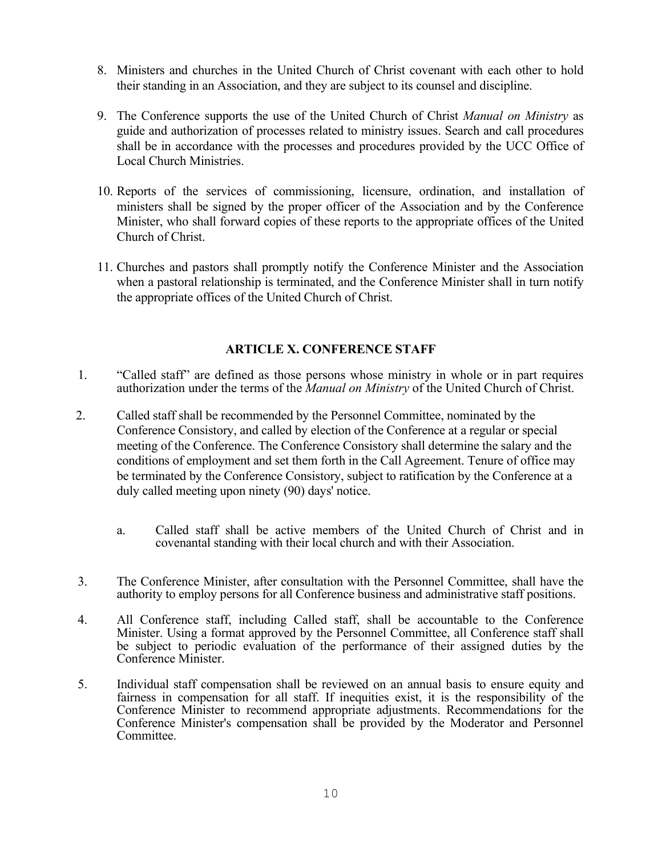- 8. Ministers and churches in the United Church of Christ covenant with each other to hold their standing in an Association, and they are subject to its counsel and discipline.
- 9. The Conference supports the use of the United Church of Christ *Manual on Ministry* as guide and authorization of processes related to ministry issues. Search and call procedures shall be in accordance with the processes and procedures provided by the UCC Office of Local Church Ministries.
- 10. Reports of the services of commissioning, licensure, ordination, and installation of ministers shall be signed by the proper officer of the Association and by the Conference Minister, who shall forward copies of these reports to the appropriate offices of the United Church of Christ.
- 11. Churches and pastors shall promptly notify the Conference Minister and the Association when a pastoral relationship is terminated, and the Conference Minister shall in turn notify the appropriate offices of the United Church of Christ.

# **ARTICLE X. CONFERENCE STAFF**

- 1. "Called staff" are defined as those persons whose ministry in whole or in part requires authorization under the terms of the *Manual on Ministry* of the United Church of Christ.
- 2. Called staff shall be recommended by the Personnel Committee, nominated by the Conference Consistory, and called by election of the Conference at a regular or special meeting of the Conference. The Conference Consistory shall determine the salary and the conditions of employment and set them forth in the Call Agreement. Tenure of office may be terminated by the Conference Consistory, subject to ratification by the Conference at a duly called meeting upon ninety (90) days' notice.
	- a. Called staff shall be active members of the United Church of Christ and in covenantal standing with their local church and with their Association.
- 3. The Conference Minister, after consultation with the Personnel Committee, shall have the authority to employ persons for all Conference business and administrative staff positions.
- 4. All Conference staff, including Called staff, shall be accountable to the Conference Minister. Using a format approved by the Personnel Committee, all Conference staff shall be subject to periodic evaluation of the performance of their assigned duties by the Conference Minister.
- 5. Individual staff compensation shall be reviewed on an annual basis to ensure equity and fairness in compensation for all staff. If inequities exist, it is the responsibility of the Conference Minister to recommend appropriate adjustments. Recommendations for the Conference Minister's compensation shall be provided by the Moderator and Personnel Committee.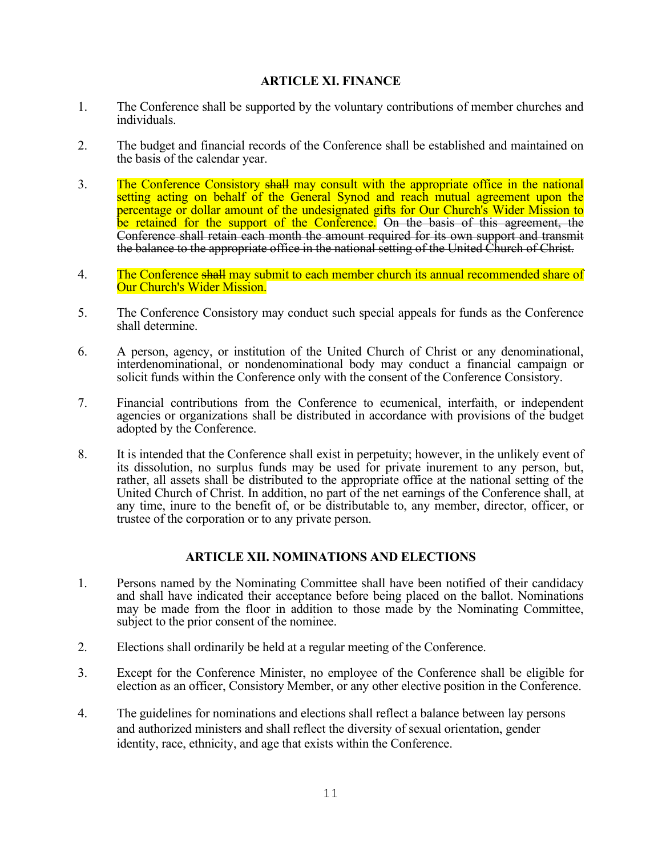# **ARTICLE XI. FINANCE**

- 1. The Conference shall be supported by the voluntary contributions of member churches and individuals.
- 2. The budget and financial records of the Conference shall be established and maintained on the basis of the calendar year.
- 3. The Conference Consistory shall may consult with the appropriate office in the national setting acting on behalf of the General Synod and reach mutual agreement upon the percentage or dollar amount of the undesignated gifts for Our Church's Wider Mission to be retained for the support of the Conference. On the basis of this agreement, the Conference shall retain each month the amount required for its own support and transmit the balance to the appropriate office in the national setting of the United Church of Christ.
- 4. The Conference shall may submit to each member church its annual recommended share of Our Church's Wider Mission.
- 5. The Conference Consistory may conduct such special appeals for funds as the Conference shall determine.
- 6. A person, agency, or institution of the United Church of Christ or any denominational, interdenominational, or nondenominational body may conduct a financial campaign or solicit funds within the Conference only with the consent of the Conference Consistory.
- 7. Financial contributions from the Conference to ecumenical, interfaith, or independent agencies or organizations shall be distributed in accordance with provisions of the budget adopted by the Conference.
- 8. It is intended that the Conference shall exist in perpetuity; however, in the unlikely event of its dissolution, no surplus funds may be used for private inurement to any person, but, rather, all assets shall be distributed to the appropriate office at the national setting of the United Church of Christ. In addition, no part of the net earnings of the Conference shall, at any time, inure to the benefit of, or be distributable to, any member, director, officer, or trustee of the corporation or to any private person.

# **ARTICLE XII. NOMINATIONS AND ELECTIONS**

- 1. Persons named by the Nominating Committee shall have been notified of their candidacy and shall have indicated their acceptance before being placed on the ballot. Nominations may be made from the floor in addition to those made by the Nominating Committee, subject to the prior consent of the nominee.
- 2. Elections shall ordinarily be held at a regular meeting of the Conference.
- 3. Except for the Conference Minister, no employee of the Conference shall be eligible for election as an officer, Consistory Member, or any other elective position in the Conference.
- 4. The guidelines for nominations and elections shall reflect a balance between lay persons and authorized ministers and shall reflect the diversity of sexual orientation, gender identity, race, ethnicity, and age that exists within the Conference.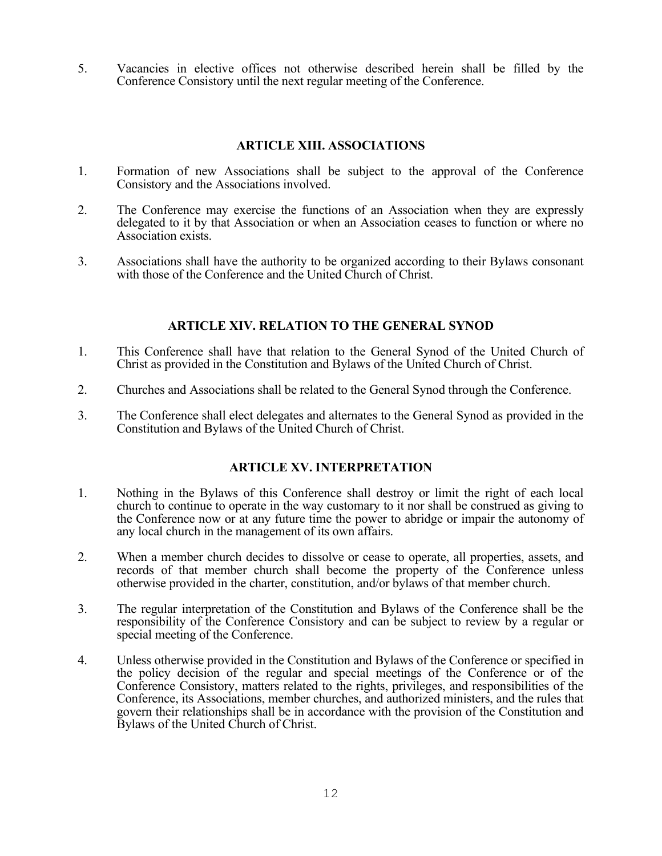5. Vacancies in elective offices not otherwise described herein shall be filled by the Conference Consistory until the next regular meeting of the Conference.

# **ARTICLE XIII. ASSOCIATIONS**

- 1. Formation of new Associations shall be subject to the approval of the Conference Consistory and the Associations involved.
- 2. The Conference may exercise the functions of an Association when they are expressly delegated to it by that Association or when an Association ceases to function or where no Association exists.
- 3. Associations shall have the authority to be organized according to their Bylaws consonant with those of the Conference and the United Church of Christ.

# **ARTICLE XIV. RELATION TO THE GENERAL SYNOD**

- 1. This Conference shall have that relation to the General Synod of the United Church of Christ as provided in the Constitution and Bylaws of the United Church of Christ.
- 2. Churches and Associations shall be related to the General Synod through the Conference.
- 3. The Conference shall elect delegates and alternates to the General Synod as provided in the Constitution and Bylaws of the United Church of Christ.

# **ARTICLE XV. INTERPRETATION**

- 1. Nothing in the Bylaws of this Conference shall destroy or limit the right of each local church to continue to operate in the way customary to it nor shall be construed as giving to the Conference now or at any future time the power to abridge or impair the autonomy of any local church in the management of its own affairs.
- 2. When a member church decides to dissolve or cease to operate, all properties, assets, and records of that member church shall become the property of the Conference unless otherwise provided in the charter, constitution, and/or bylaws of that member church.
- 3. The regular interpretation of the Constitution and Bylaws of the Conference shall be the responsibility of the Conference Consistory and can be subject to review by a regular or special meeting of the Conference.
- 4. Unless otherwise provided in the Constitution and Bylaws of the Conference or specified in the policy decision of the regular and special meetings of the Conference or of the Conference Consistory, matters related to the rights, privileges, and responsibilities of the Conference, its Associations, member churches, and authorized ministers, and the rules that govern their relationships shall be in accordance with the provision of the Constitution and Bylaws of the United Church of Christ.